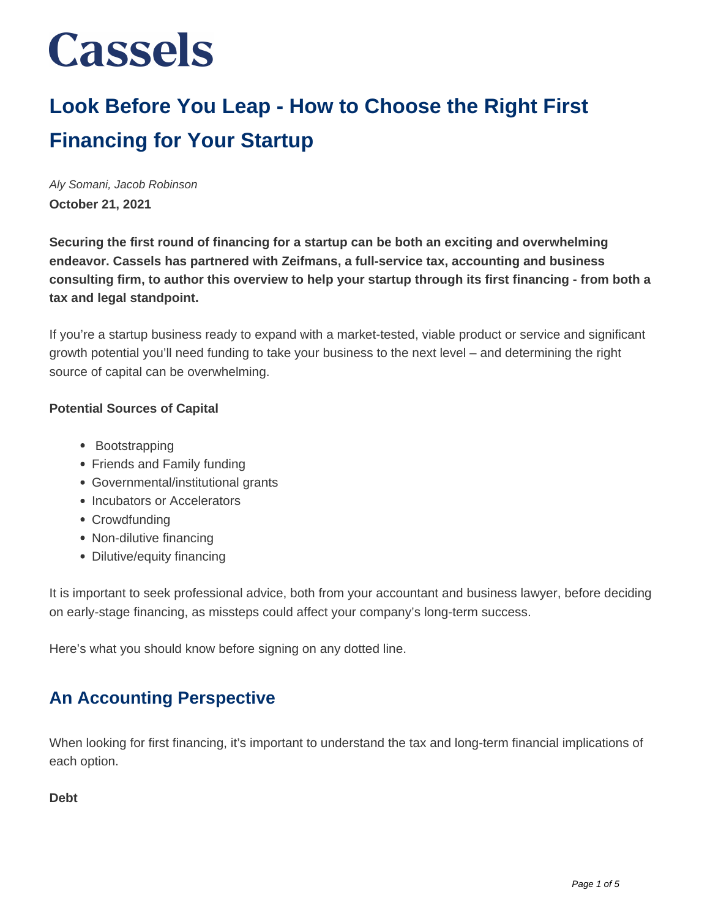## **Look Before You Leap - How to Choose the Right First Financing for Your Startup**

Aly Somani, Jacob Robinson **October 21, 2021**

**Securing the first round of financing for a startup can be both an exciting and overwhelming endeavor. Cassels has partnered with Zeifmans, a full-service tax, accounting and business consulting firm, to author this overview to help your startup through its first financing - from both a tax and legal standpoint.**

If you're a startup business ready to expand with a market-tested, viable product or service and significant growth potential you'll need funding to take your business to the next level – and determining the right source of capital can be overwhelming.

### **Potential Sources of Capital**

- Bootstrapping
- Friends and Family funding
- Governmental/institutional grants
- Incubators or Accelerators
- Crowdfunding
- Non-dilutive financing
- Dilutive/equity financing

It is important to seek professional advice, both from your accountant and business lawyer, before deciding on early-stage financing, as missteps could affect your company's long-term success.

Here's what you should know before signing on any dotted line.

## **An Accounting Perspective**

When looking for first financing, it's important to understand the tax and long-term financial implications of each option.

#### **Debt**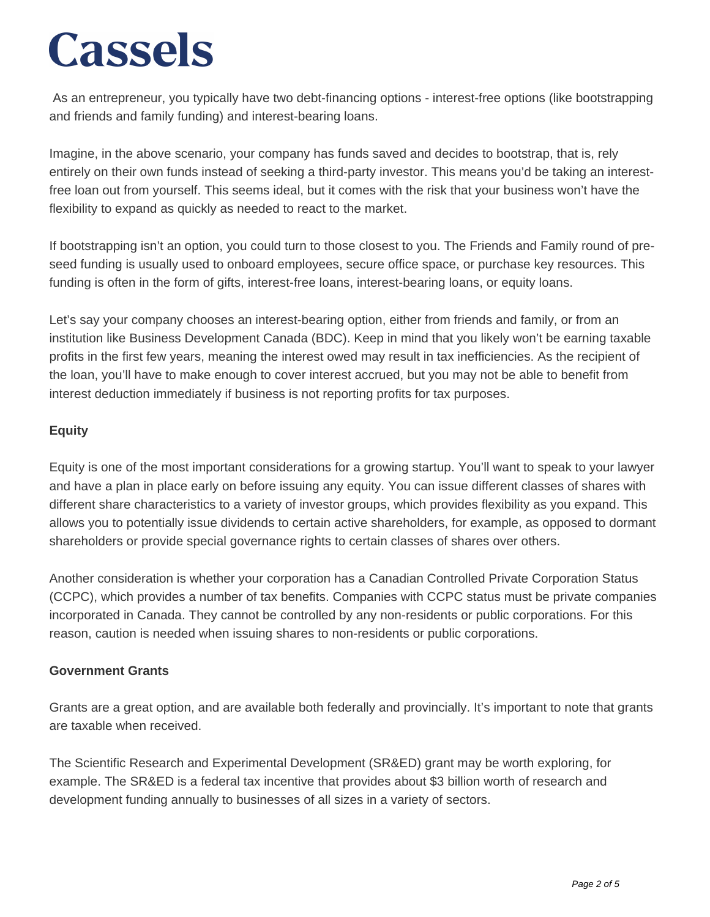As an entrepreneur, you typically have two debt-financing options - interest-free options (like bootstrapping and friends and family funding) and interest-bearing loans.

Imagine, in the above scenario, your company has funds saved and decides to bootstrap, that is, rely entirely on their own funds instead of seeking a third-party investor. This means you'd be taking an interestfree loan out from yourself. This seems ideal, but it comes with the risk that your business won't have the flexibility to expand as quickly as needed to react to the market.

If bootstrapping isn't an option, you could turn to those closest to you. The Friends and Family round of preseed funding is usually used to onboard employees, secure office space, or purchase key resources. This funding is often in the form of gifts, interest-free loans, interest-bearing loans, or equity loans.

Let's say your company chooses an interest-bearing option, either from friends and family, or from an institution like Business Development Canada (BDC). Keep in mind that you likely won't be earning taxable profits in the first few years, meaning the interest owed may result in tax inefficiencies. As the recipient of the loan, you'll have to make enough to cover interest accrued, but you may not be able to benefit from interest deduction immediately if business is not reporting profits for tax purposes.

## **Equity**

Equity is one of the most important considerations for a growing startup. You'll want to speak to your lawyer and have a plan in place early on before issuing any equity. You can issue different classes of shares with different share characteristics to a variety of investor groups, which provides flexibility as you expand. This allows you to potentially issue dividends to certain active shareholders, for example, as opposed to dormant shareholders or provide special governance rights to certain classes of shares over others.

Another consideration is whether your corporation has a Canadian Controlled Private Corporation Status (CCPC), which provides a number of tax benefits. Companies with CCPC status must be private companies incorporated in Canada. They cannot be controlled by any non-residents or public corporations. For this reason, caution is needed when issuing shares to non-residents or public corporations.

### **Government Grants**

Grants are a great option, and are available both federally and provincially. It's important to note that grants are taxable when received.

The Scientific Research and Experimental Development (SR&ED) grant may be worth exploring, for example. The SR&ED is a federal tax incentive that provides about \$3 billion worth of research and development funding annually to businesses of all sizes in a variety of sectors.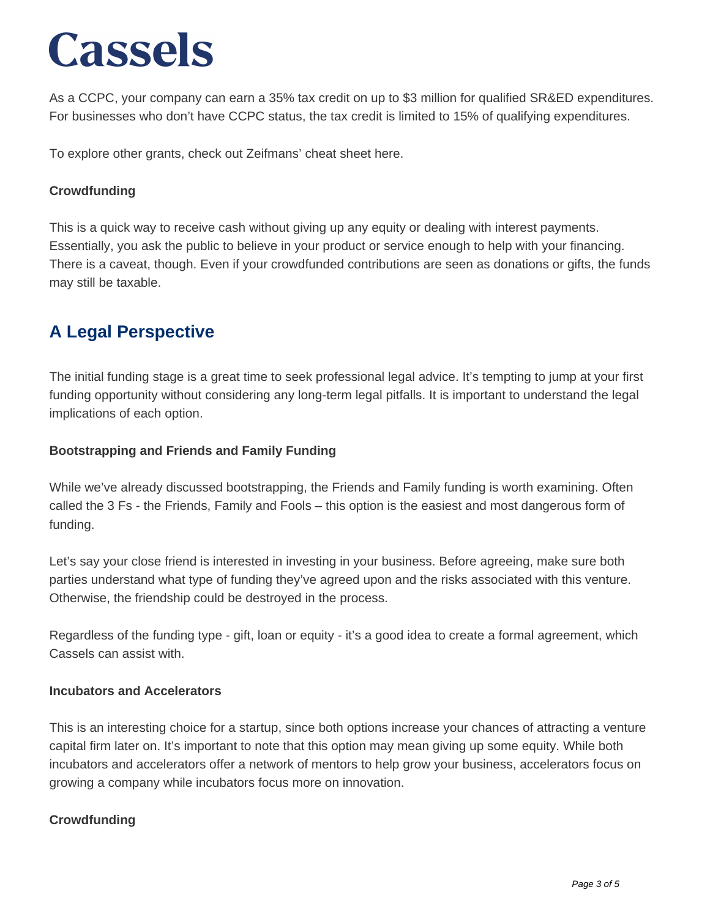As a CCPC, your company can earn a 35% tax credit on up to \$3 million for qualified SR&ED expenditures. For businesses who don't have CCPC status, the tax credit is limited to 15% of qualifying expenditures.

To explore other grants, check out Zeifmans' cheat sheet here.

### **Crowdfunding**

This is a quick way to receive cash without giving up any equity or dealing with interest payments. Essentially, you ask the public to believe in your product or service enough to help with your financing. There is a caveat, though. Even if your crowdfunded contributions are seen as donations or gifts, the funds may still be taxable.

## **A Legal Perspective**

The initial funding stage is a great time to seek professional legal advice. It's tempting to jump at your first funding opportunity without considering any long-term legal pitfalls. It is important to understand the legal implications of each option.

#### **Bootstrapping and Friends and Family Funding**

While we've already discussed bootstrapping, the Friends and Family funding is worth examining. Often called the 3 Fs - the Friends, Family and Fools – this option is the easiest and most dangerous form of funding.

Let's say your close friend is interested in investing in your business. Before agreeing, make sure both parties understand what type of funding they've agreed upon and the risks associated with this venture. Otherwise, the friendship could be destroyed in the process.

Regardless of the funding type - gift, loan or equity - it's a good idea to create a formal agreement, which Cassels can assist with.

#### **Incubators and Accelerators**

This is an interesting choice for a startup, since both options increase your chances of attracting a venture capital firm later on. It's important to note that this option may mean giving up some equity. While both incubators and accelerators offer a network of mentors to help grow your business, accelerators focus on growing a company while incubators focus more on innovation.

### **Crowdfunding**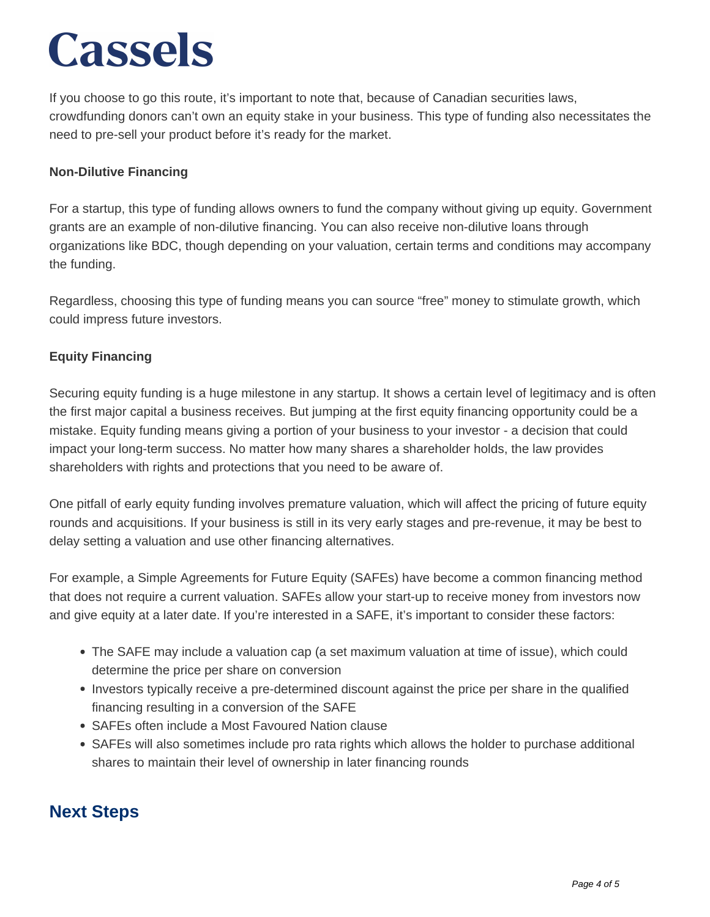If you choose to go this route, it's important to note that, because of Canadian securities laws, crowdfunding donors can't own an equity stake in your business. This type of funding also necessitates the need to pre-sell your product before it's ready for the market.

### **Non-Dilutive Financing**

For a startup, this type of funding allows owners to fund the company without giving up equity. Government grants are an example of non-dilutive financing. You can also receive non-dilutive loans through organizations like BDC, though depending on your valuation, certain terms and conditions may accompany the funding.

Regardless, choosing this type of funding means you can source "free" money to stimulate growth, which could impress future investors.

## **Equity Financing**

Securing equity funding is a huge milestone in any startup. It shows a certain level of legitimacy and is often the first major capital a business receives. But jumping at the first equity financing opportunity could be a mistake. Equity funding means giving a portion of your business to your investor - a decision that could impact your long-term success. No matter how many shares a shareholder holds, the law provides shareholders with rights and protections that you need to be aware of.

One pitfall of early equity funding involves premature valuation, which will affect the pricing of future equity rounds and acquisitions. If your business is still in its very early stages and pre-revenue, it may be best to delay setting a valuation and use other financing alternatives.

For example, a Simple Agreements for Future Equity (SAFEs) have become a common financing method that does not require a current valuation. SAFEs allow your start-up to receive money from investors now and give equity at a later date. If you're interested in a SAFE, it's important to consider these factors:

- The SAFE may include a valuation cap (a set maximum valuation at time of issue), which could determine the price per share on conversion
- Investors typically receive a pre-determined discount against the price per share in the qualified financing resulting in a conversion of the SAFE
- SAFEs often include a Most Favoured Nation clause
- SAFEs will also sometimes include pro rata rights which allows the holder to purchase additional shares to maintain their level of ownership in later financing rounds

## **Next Steps**